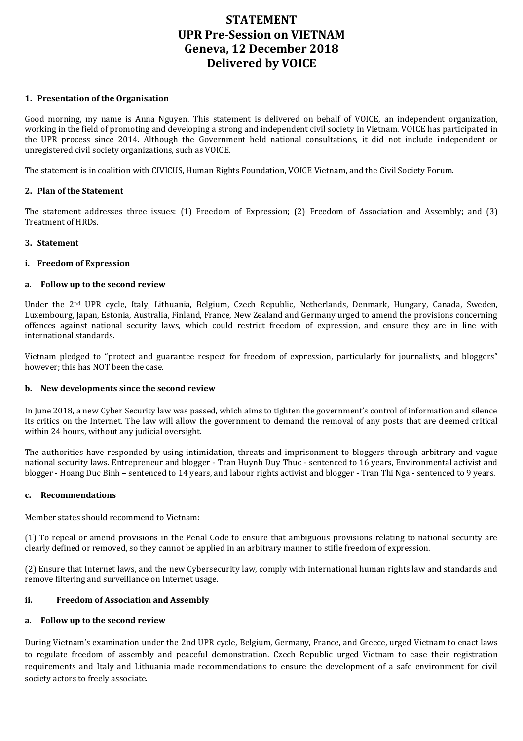# **STATEMENT UPR Pre-Session on VIETNAM Geneva, 12 December 2018 Delivered by VOICE**

#### **1. Presentation of the Organisation**

Good morning, my name is Anna Nguyen. This statement is delivered on behalf of VOICE, an independent organization, working in the field of promoting and developing a strong and independent civil society in Vietnam. VOICE has participated in the UPR process since 2014. Although the Government held national consultations, it did not include independent or unregistered civil society organizations, such as VOICE.

The statement is in coalition with CIVICUS, Human Rights Foundation, VOICE Vietnam, and the Civil Society Forum.

#### **2. Plan of the Statement**

The statement addresses three issues: (1) Freedom of Expression; (2) Freedom of Association and Assembly; and (3) Treatment of HRDs.

# **3. Statement**

# **i. Freedom of Expression**

# **a. Follow up to the second review**

Under the 2<sup>nd</sup> UPR cycle, Italy, Lithuania, Belgium, Czech Republic, Netherlands, Denmark, Hungary, Canada, Sweden, Luxembourg, Japan, Estonia, Australia, Finland, France, New Zealand and Germany urged to amend the provisions concerning offences against national security laws, which could restrict freedom of expression, and ensure they are in line with international standards.

Vietnam pledged to "protect and guarantee respect for freedom of expression, particularly for journalists, and bloggers" however; this has NOT been the case.

#### **b. New developments since the second review**

In June 2018, a new Cyber Security law was passed, which aims to tighten the government's control of information and silence its critics on the Internet. The law will allow the government to demand the removal of any posts that are deemed critical within 24 hours, without any judicial oversight.

The authorities have responded by using intimidation, threats and imprisonment to bloggers through arbitrary and vague national security laws. Entrepreneur and blogger - Tran Huynh Duy Thuc - sentenced to 16 years, Environmental activist and blogger - Hoang Duc Binh – sentenced to 14 years, and labour rights activist and blogger - Tran Thi Nga - sentenced to 9 years.

#### **c. Recommendations**

Member states should recommend to Vietnam:

(1) To repeal or amend provisions in the Penal Code to ensure that ambiguous provisions relating to national security are clearly defined or removed, so they cannot be applied in an arbitrary manner to stifle freedom of expression.

(2) Ensure that Internet laws, and the new Cybersecurity law, comply with international human rights law and standards and remove filtering and surveillance on Internet usage.

#### **ii. Freedom of Association and Assembly**

#### **a. Follow up to the second review**

During Vietnam's examination under the 2nd UPR cycle, Belgium, Germany, France, and Greece, urged Vietnam to enact laws to regulate freedom of assembly and peaceful demonstration. Czech Republic urged Vietnam to ease their registration requirements and Italy and Lithuania made recommendations to ensure the development of a safe environment for civil society actors to freely associate.